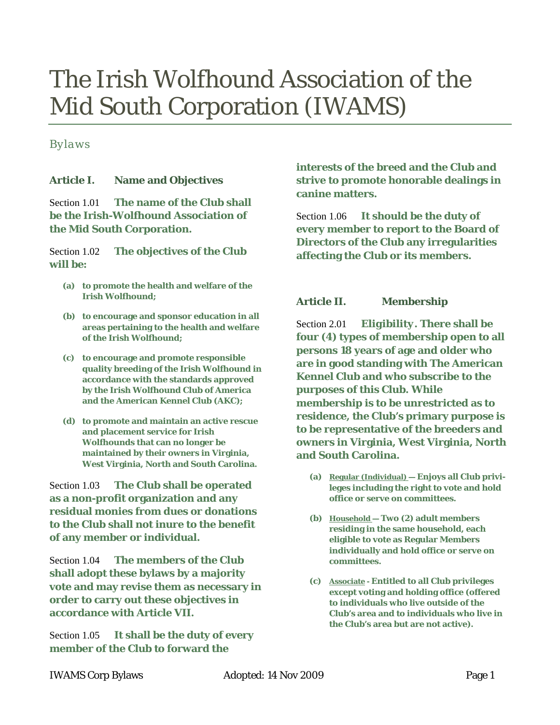# The Irish Wolfhound Association of the Mid South Corporation (IWAMS)

# *Bylaws*

## **Article I. Name and Objectives**

Section 1.01 **The name of the Club shall be the Irish-Wolfhound Association of the Mid South Corporation.** 

Section 1.02 **The objectives of the Club will be:**

- **(a) to promote the health and welfare of the Irish Wolfhound;**
- **(b) to encourage and sponsor education in all areas pertaining to the health and welfare of the Irish Wolfhound;**
- **(c) to encourage and promote responsible quality breeding of the Irish Wolfhound in accordance with the standards approved by the Irish Wolfhound Club of America and the American Kennel Club (AKC);**
- **(d) to promote and maintain an active rescue and placement service for Irish Wolfhounds that can no longer be maintained by their owners in Virginia, West Virginia, North and South Carolina.**

Section 1.03 **The Club shall be operated as a non-profit organization and any residual monies from dues or donations to the Club shall not inure to the benefit of any member or individual.** 

Section 1.04 **The members of the Club shall adopt these bylaws by a majority vote and may revise them as necessary in order to carry out these objectives in accordance with [Article VII.](#page-5-0)** 

Section 1.05 **It shall be the duty of every member of the Club to forward the** 

**interests of the breed and the Club and strive to promote honorable dealings in canine matters.** 

Section 1.06 **It should be the duty of every member to report to the Board of Directors of the Club any irregularities affecting the Club or its members.** 

## **Article II. Membership**

Section 2.01 *Eligibility.* **There shall be four (4) types of membership open to all persons 18 years of age and older who are in good standing with The American Kennel Club and who subscribe to the purposes of this Club. While membership is to be unrestricted as to residence, the Club's primary purpose is to be representative of the breeders and owners in Virginia, West Virginia, North and South Carolina.**

- **(a) Regular (Individual) — Enjoys all Club privileges including the right to vote and hold office or serve on committees.**
- **(b) Household — Two (2) adult members residing in the same household, each eligible to vote as Regular Members individually and hold office or serve on committees.**
- **(c) Associate - Entitled to all Club privileges except voting and holding office (offered to individuals who live outside of the Club's area and to individuals who live in the Club's area but are not active).**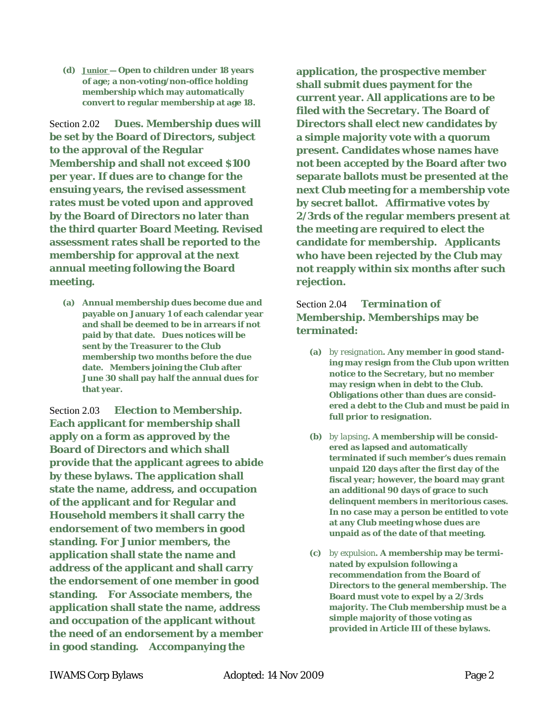**(d) Junior — Open to children under 18 years of age; a non-voting/non-office holding membership which may automatically convert to regular membership at age 18.**

Section 2.02 *Dues.* **Membership dues will be set by the Board of Directors, subject to the approval of the Regular Membership and shall not exceed \$100 per year. If dues are to change for the ensuing years, the revised assessment rates must be voted upon and approved by the Board of Directors no later than the third quarter Board Meeting. Revised assessment rates shall be reported to the membership for approval at the next annual meeting following the Board meeting.** 

**(a) Annual membership dues become due and payable on January 1 of each calendar year and shall be deemed to be in arrears if not paid by that date. Dues notices will be sent by the Treasurer to the Club membership two months before the due date. Members joining the Club after June 30 shall pay half the annual dues for that year.** 

Section 2.03 *Election to Membership.* **Each applicant for membership shall apply on a form as approved by the Board of Directors and which shall provide that the applicant agrees to abide by these bylaws. The application shall state the name, address, and occupation of the applicant and for Regular and Household members it shall carry the endorsement of two members in good standing. For Junior members, the application shall state the name and address of the applicant and shall carry the endorsement of one member in good standing. For Associate members, the application shall state the name, address and occupation of the applicant without the need of an endorsement by a member in good standing. Accompanying the** 

**application, the prospective member shall submit dues payment for the current year. All applications are to be filed with the Secretary. The Board of Directors shall elect new candidates by a simple majority vote with a quorum present. Candidates whose names have not been accepted by the Board after two separate ballots must be presented at the next Club meeting for a membership vote by secret ballot. Affirmative votes by 2/3rds of the regular members present at the meeting are required to elect the candidate for membership. Applicants who have been rejected by the Club may not reapply within six months after such rejection.**

# Section 2.04 *Termination of Membership.* **Memberships may be terminated:**

- **(a)** *by resignation***. Any member in good standing may resign from the Club upon written notice to the Secretary, but no member may resign when in debt to the Club. Obligations other than dues are considered a debt to the Club and must be paid in full prior to resignation.**
- **(b)** *by lapsing***. A membership will be considered as lapsed and automatically terminated if such member's dues remain unpaid 120 days after the first day of the fiscal year; however, the board may grant an additional 90 days of grace to such delinquent members in meritorious cases. In no case may a person be entitled to vote at any Club meeting whose dues are unpaid as of the date of that meeting.**
- **(c)** *by expulsion***. A membership may be terminated by expulsion following a recommendation from the Board of Directors to the general membership. The Board must vote to expel by a 2/3rds majority. The Club membership must be a simple majority of those voting as provided i[n Article III](#page-2-0) of these bylaws.**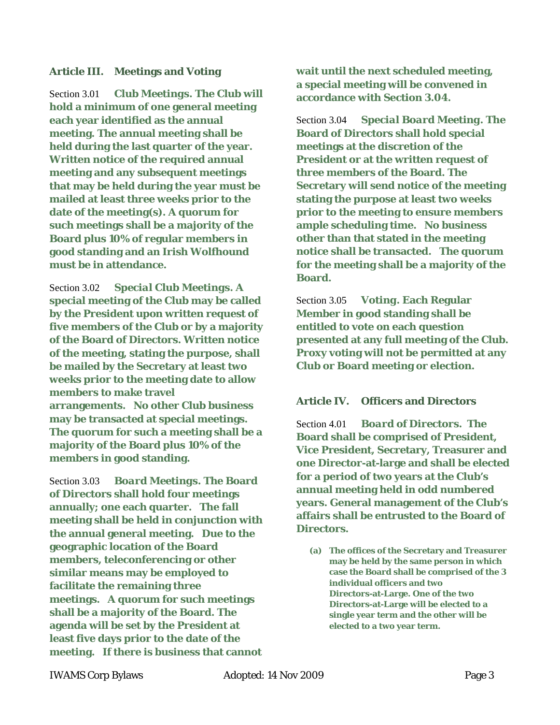#### <span id="page-2-0"></span>**Article III. Meetings and Voting**

Section 3.01 *Club Meetings***. The Club will hold a minimum of one general meeting each year identified as the annual meeting. The annual meeting shall be held during the last quarter of the year. Written notice of the required annual meeting and any subsequent meetings that may be held during the year must be mailed at least three weeks prior to the date of the meeting(s). A quorum for such meetings shall be a majority of the Board plus 10% of regular members in good standing and an Irish Wolfhound must be in attendance.** 

Section 3.02 *Special Club Meetings***. A special meeting of the Club may be called by the President upon written request of five members of the Club or by a majority of the Board of Directors. Written notice of the meeting, stating the purpose, shall be mailed by the Secretary at least two weeks prior to the meeting date to allow members to make travel arrangements. No other Club business may be transacted at special meetings. The quorum for such a meeting shall be a majority of the Board plus 10% of the members in good standing.**

Section 3.03 *Board Meetings***. The Board of Directors shall hold four meetings annually; one each quarter. The fall meeting shall be held in conjunction with the annual general meeting. Due to the geographic location of the Board members, teleconferencing or other similar means may be employed to facilitate the remaining three meetings. A quorum for such meetings shall be a majority of the Board. The agenda will be set by the President at least five days prior to the date of the meeting. If there is business that cannot** **wait until the next scheduled meeting, a special meeting will be convened in accordance with [Section 3.04.](#page-2-1)** 

<span id="page-2-1"></span>Section 3.04 *Special Board Meeting.* **The Board of Directors shall hold special meetings at the discretion of the President or at the written request of three members of the Board. The Secretary will send notice of the meeting stating the purpose at least two weeks prior to the meeting to ensure members ample scheduling time. No business other than that stated in the meeting notice shall be transacted. The quorum for the meeting shall be a majority of the Board.** 

Section 3.05 *Voting.* **Each Regular Member in good standing shall be entitled to vote on each question presented at any full meeting of the Club. Proxy voting will not be permitted at any Club or Board meeting or election.**

#### **Article IV. Officers and Directors**

<span id="page-2-2"></span>Section 4.01 *Board of Directors.* **The Board shall be comprised of President, Vice President, Secretary, Treasurer and one Director-at-large and shall be elected for a period of two years at the Club's annual meeting held in odd numbered years. General management of the Club's affairs shall be entrusted to the Board of Directors.**

**(a) The offices of the Secretary and Treasurer may be held by the same person in which case the Board shall be comprised of the 3 individual officers and two Directors-at-Large. One of the two Directors-at-Large will be elected to a single year term and the other will be elected to a two year term.**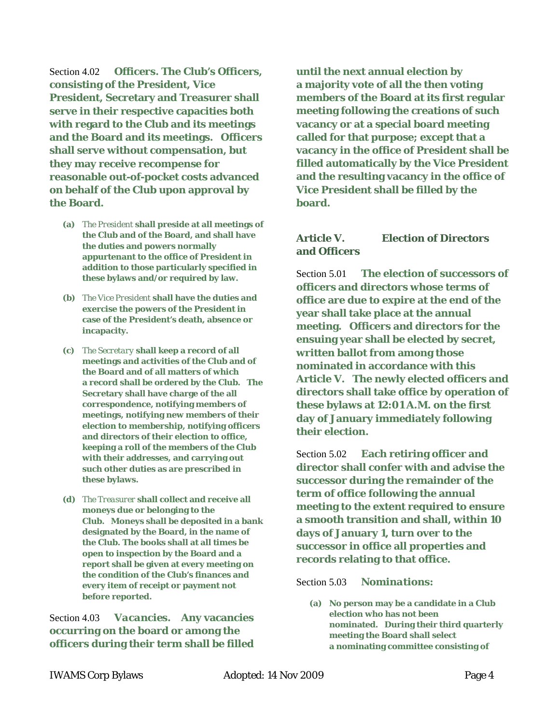Section 4.02 *Officers.* **The Club's Officers, consisting of the President, Vice President, Secretary and Treasurer shall serve in their respective capacities both with regard to the Club and its meetings and the Board and its meetings. Officers shall serve without compensation, but they may receive recompense for reasonable out-of-pocket costs advanced on behalf of the Club upon approval by the Board.** 

- **(a)** *The President* **shall preside at all meetings of the Club and of the Board, and shall have the duties and powers normally appurtenant to the office of President in addition to those particularly specified in these bylaws and/or required by law.**
- **(b)** *The Vice President* **shall have the duties and exercise the powers of the President in case of the President's death, absence or incapacity.**
- **(c)** *The Secretary* **shall keep a record of all meetings and activities of the Club and of the Board and of all matters of which a record shall be ordered by the Club. The Secretary shall have charge of the all correspondence, notifying members of meetings, notifying new members of their election to membership, notifying officers and directors of their election to office, keeping a roll of the members of the Club with their addresses, and carrying out such other duties as are prescribed in these bylaws.**
- **(d)** *The Treasurer* **shall collect and receive all moneys due or belonging to the Club. Moneys shall be deposited in a bank designated by the Board, in the name of the Club. The books shall at all times be open to inspection by the Board and a report shall be given at every meeting on the condition of the Club's finances and every item of receipt or payment not before reported.**

Section 4.03 *Vacancies***. Any vacancies occurring on the board or among the officers during their term shall be filled**  **until the next annual election by a majority vote of all the then voting members of the Board at its first regular meeting following the creations of such vacancy or at a special board meeting called for that purpose; except that a vacancy in the office of President shall be filled automatically by the Vice President and the resulting vacancy in the office of Vice President shall be filled by the board.**

#### <span id="page-3-0"></span>**Article V. Election of Directors and Officers**

Section 5.01 **The election of successors of officers and directors whose terms of office are due to expire at the end of the year shall take place at the annual meeting. Officers and directors for the ensuing year shall be elected by secret, written ballot from among those nominated in accordance with this [Article V.](#page-3-0) The newly elected officers and directors shall take office by operation of these bylaws at 12:01 A.M. on the first day of January immediately following their election.**

Section 5.02 **Each retiring officer and director shall confer with and advise the successor during the remainder of the term of office following the annual meeting to the extent required to ensure a smooth transition and shall, within 10 days of January 1, turn over to the successor in office all properties and records relating to that office.** 

#### Section 5.03 *Nominations***:**

**(a) No person may be a candidate in a Club election who has not been nominated. During their third quarterly meeting the Board shall select a nominating committee consisting of**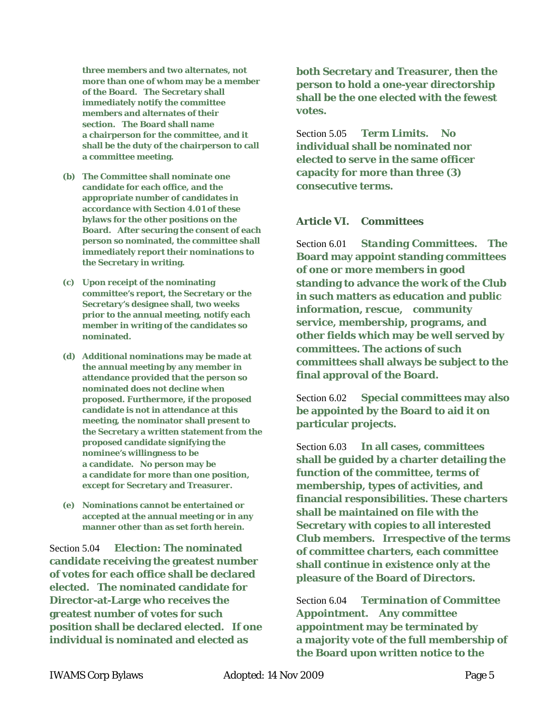**three members and two alternates, not more than one of whom may be a member of the Board. The Secretary shall immediately notify the committee members and alternates of their section. The Board shall name a chairperson for the committee, and it shall be the duty of the chairperson to call a committee meeting.** 

- **(b) The Committee shall nominate one candidate for each office, and the appropriate number of candidates in accordance with [Section 4.01](#page-2-2) of these bylaws for the other positions on the Board. After securing the consent of each person so nominated, the committee shall immediately report their nominations to the Secretary in writing.**
- **(c) Upon receipt of the nominating committee's report, the Secretary or the Secretary's designee shall, two weeks prior to the annual meeting, notify each member in writing of the candidates so nominated.**
- **(d) Additional nominations may be made at the annual meeting by any member in attendance provided that the person so nominated does not decline when proposed. Furthermore, if the proposed candidate is not in attendance at this meeting, the nominator shall present to the Secretary a written statement from the proposed candidate signifying the nominee's willingness to be a candidate. No person may be a candidate for more than one position, except for Secretary and Treasurer.**
- **(e) Nominations cannot be entertained or accepted at the annual meeting or in any manner other than as set forth herein.**

Section 5.04 *Election:* **The nominated candidate receiving the greatest number of votes for each office shall be declared elected. The nominated candidate for Director-at-Large who receives the greatest number of votes for such position shall be declared elected. If one individual is nominated and elected as** 

**both Secretary and Treasurer, then the person to hold a one-year directorship shall be the one elected with the fewest votes.** 

Section 5.05 *Term Limits.* **No individual shall be nominated nor elected to serve in the same officer capacity for more than three (3) consecutive terms.**

#### **Article VI. Committees**

Section 6.01 *Standing Committees.* **The Board may appoint standing committees of one or more members in good standing to advance the work of the Club in such matters as education and public information, rescue, community service, membership, programs, and other fields which may be well served by committees. The actions of such committees shall always be subject to the final approval of the Board.**

Section 6.02 **Special committees may also be appointed by the Board to aid it on particular projects.**

Section 6.03 **In all cases, committees shall be guided by a charter detailing the function of the committee, terms of membership, types of activities, and financial responsibilities. These charters shall be maintained on file with the Secretary with copies to all interested Club members. Irrespective of the terms of committee charters, each committee shall continue in existence only at the pleasure of the Board of Directors.** 

Section 6.04 *Termination of Committee Appointment.* **Any committee appointment may be terminated by a majority vote of the full membership of the Board upon written notice to the**